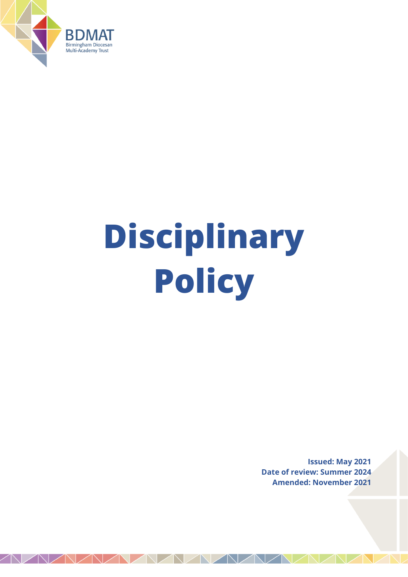

# **Disciplinary Policy**

**Issued: May 2021 Date of review: Summer 2024 Amended: November 2021**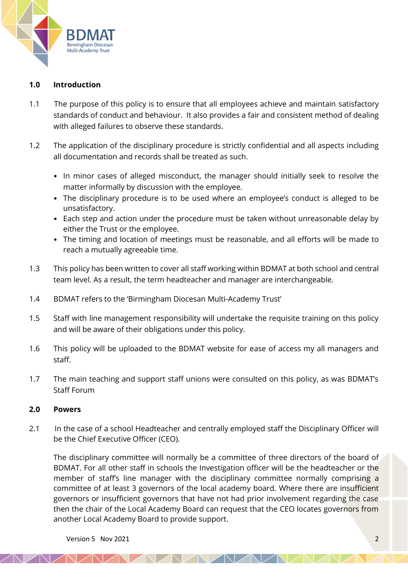

#### **1.0 Introduction**

- 1.1 The purpose of this policy is to ensure that all employees achieve and maintain satisfactory standards of conduct and behaviour. It also provides a fair and consistent method of dealing with alleged failures to observe these standards.
- 1.2 The application of the disciplinary procedure is strictly confidential and all aspects including all documentation and records shall be treated as such.
	- In minor cases of alleged misconduct, the manager should initially seek to resolve the matter informally by discussion with the employee.
	- The disciplinary procedure is to be used where an employee's conduct is alleged to be unsatisfactory.
	- Each step and action under the procedure must be taken without unreasonable delay by either the Trust or the employee.
	- The timing and location of meetings must be reasonable, and all efforts will be made to reach a mutually agreeable time.
- 1.3 This policy has been written to cover all staff working within BDMAT at both school and central team level. As a result, the term headteacher and manager are interchangeable.
- 1.4 BDMAT refers to the 'Birmingham Diocesan Multi-Academy Trust'
- 1.5 Staff with line management responsibility will undertake the requisite training on this policy and will be aware of their obligations under this policy.
- 1.6 This policy will be uploaded to the BDMAT website for ease of access my all managers and staff.
- 1.7 The main teaching and support staff unions were consulted on this policy, as was BDMAT's Staff Forum

#### **2.0 Powers**

2.1 In the case of a school Headteacher and centrally employed staff the Disciplinary Officer will be the Chief Executive Officer (CEO).

The disciplinary committee will normally be a committee of three directors of the board of BDMAT. For all other staff in schools the Investigation officer will be the headteacher or the member of staff's line manager with the disciplinary committee normally comprising a committee of at least 3 governors of the local academy board. Where there are insufficient governors or insufficient governors that have not had prior involvement regarding the case then the chair of the Local Academy Board can request that the CEO locates governors from another Local Academy Board to provide support.

NAVAVAVA

Version 5 Nov 2021 2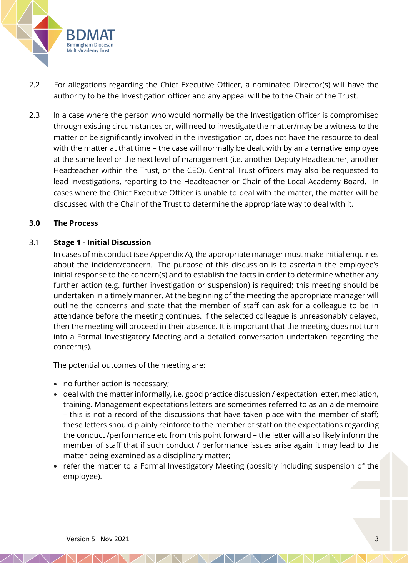

- 2.2 For allegations regarding the Chief Executive Officer, a nominated Director(s) will have the authority to be the Investigation officer and any appeal will be to the Chair of the Trust.
- 2.3 In a case where the person who would normally be the Investigation officer is compromised through existing circumstances or, will need to investigate the matter/may be a witness to the matter or be significantly involved in the investigation or, does not have the resource to deal with the matter at that time – the case will normally be dealt with by an alternative employee at the same level or the next level of management (i.e. another Deputy Headteacher, another Headteacher within the Trust, or the CEO). Central Trust officers may also be requested to lead investigations, reporting to the Headteacher or Chair of the Local Academy Board. In cases where the Chief Executive Officer is unable to deal with the matter, the matter will be discussed with the Chair of the Trust to determine the appropriate way to deal with it.

#### **3.0 The Process**

#### 3.1 **Stage 1 - Initial Discussion**

In cases of misconduct (see Appendix A), the appropriate manager must make initial enquiries about the incident/concern. The purpose of this discussion is to ascertain the employee's initial response to the concern(s) and to establish the facts in order to determine whether any further action (e.g. further investigation or suspension) is required; this meeting should be undertaken in a timely manner. At the beginning of the meeting the appropriate manager will outline the concerns and state that the member of staff can ask for a colleague to be in attendance before the meeting continues. If the selected colleague is unreasonably delayed, then the meeting will proceed in their absence. It is important that the meeting does not turn into a Formal Investigatory Meeting and a detailed conversation undertaken regarding the concern(s).

The potential outcomes of the meeting are:

- no further action is necessary;
- deal with the matter informally, i.e. good practice discussion / expectation letter, mediation, training. Management expectations letters are sometimes referred to as an aide memoire – this is not a record of the discussions that have taken place with the member of staff; these letters should plainly reinforce to the member of staff on the expectations regarding the conduct /performance etc from this point forward – the letter will also likely inform the member of staff that if such conduct / performance issues arise again it may lead to the matter being examined as a disciplinary matter;
- refer the matter to a Formal Investigatory Meeting (possibly including suspension of the employee).

*NAMARA*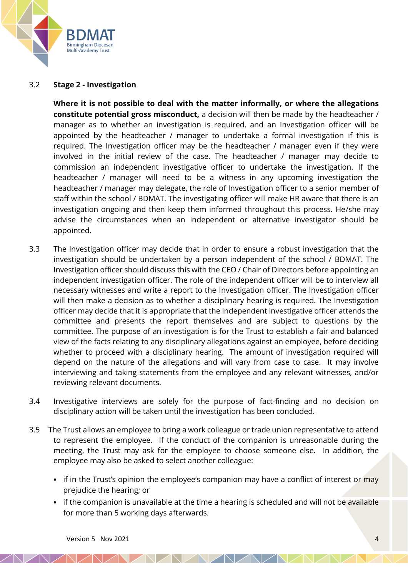

#### 3.2 **Stage 2 - Investigation**

**Where it is not possible to deal with the matter informally, or where the allegations constitute potential gross misconduct,** a decision will then be made by the headteacher / manager as to whether an investigation is required, and an Investigation officer will be appointed by the headteacher / manager to undertake a formal investigation if this is required. The Investigation officer may be the headteacher / manager even if they were involved in the initial review of the case. The headteacher / manager may decide to commission an independent investigative officer to undertake the investigation. If the headteacher / manager will need to be a witness in any upcoming investigation the headteacher / manager may delegate, the role of Investigation officer to a senior member of staff within the school / BDMAT. The investigating officer will make HR aware that there is an investigation ongoing and then keep them informed throughout this process. He/she may advise the circumstances when an independent or alternative investigator should be appointed.

- 3.3 The Investigation officer may decide that in order to ensure a robust investigation that the investigation should be undertaken by a person independent of the school / BDMAT. The Investigation officer should discuss this with the CEO / Chair of Directors before appointing an independent investigation officer. The role of the independent officer will be to interview all necessary witnesses and write a report to the Investigation officer. The Investigation officer will then make a decision as to whether a disciplinary hearing is required. The Investigation officer may decide that it is appropriate that the independent investigative officer attends the committee and presents the report themselves and are subject to questions by the committee. The purpose of an investigation is for the Trust to establish a fair and balanced view of the facts relating to any disciplinary allegations against an employee, before deciding whether to proceed with a disciplinary hearing. The amount of investigation required will depend on the nature of the allegations and will vary from case to case. It may involve interviewing and taking statements from the employee and any relevant witnesses, and/or reviewing relevant documents.
- 3.4 Investigative interviews are solely for the purpose of fact-finding and no decision on disciplinary action will be taken until the investigation has been concluded.
- 3.5 The Trust allows an employee to bring a work colleague or trade union representative to attend to represent the employee. If the conduct of the companion is unreasonable during the meeting, the Trust may ask for the employee to choose someone else. In addition, the employee may also be asked to select another colleague:
	- if in the Trust's opinion the employee's companion may have a conflict of interest or may prejudice the hearing; or
	- if the companion is unavailable at the time a hearing is scheduled and will not be available for more than 5 working days afterwards.

NAMAMAL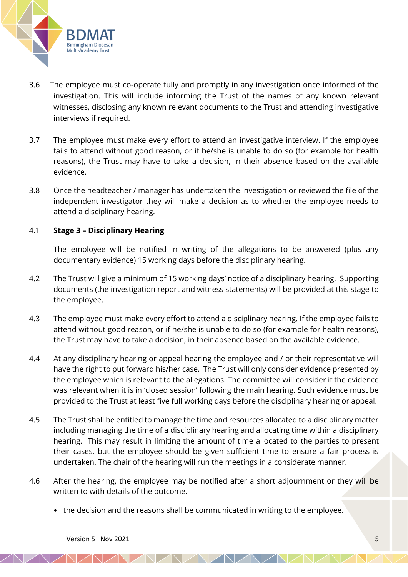

- 3.6 The employee must co-operate fully and promptly in any investigation once informed of the investigation. This will include informing the Trust of the names of any known relevant witnesses, disclosing any known relevant documents to the Trust and attending investigative interviews if required.
- 3.7 The employee must make every effort to attend an investigative interview. If the employee fails to attend without good reason, or if he/she is unable to do so (for example for health reasons), the Trust may have to take a decision, in their absence based on the available evidence.
- 3.8 Once the headteacher / manager has undertaken the investigation or reviewed the file of the independent investigator they will make a decision as to whether the employee needs to attend a disciplinary hearing.

## 4.1 **Stage 3 – Disciplinary Hearing**

The employee will be notified in writing of the allegations to be answered (plus any documentary evidence) 15 working days before the disciplinary hearing.

- 4.2 The Trust will give a minimum of 15 working days' notice of a disciplinary hearing. Supporting documents (the investigation report and witness statements) will be provided at this stage to the employee.
- 4.3 The employee must make every effort to attend a disciplinary hearing. If the employee fails to attend without good reason, or if he/she is unable to do so (for example for health reasons), the Trust may have to take a decision, in their absence based on the available evidence.
- 4.4 At any disciplinary hearing or appeal hearing the employee and / or their representative will have the right to put forward his/her case. The Trust will only consider evidence presented by the employee which is relevant to the allegations. The committee will consider if the evidence was relevant when it is in 'closed session' following the main hearing. Such evidence must be provided to the Trust at least five full working days before the disciplinary hearing or appeal.
- 4.5 The Trust shall be entitled to manage the time and resources allocated to a disciplinary matter including managing the time of a disciplinary hearing and allocating time within a disciplinary hearing. This may result in limiting the amount of time allocated to the parties to present their cases, but the employee should be given sufficient time to ensure a fair process is undertaken. The chair of the hearing will run the meetings in a considerate manner.
- 4.6 After the hearing, the employee may be notified after a short adjournment or they will be written to with details of the outcome.

NAMAMA

• the decision and the reasons shall be communicated in writing to the employee.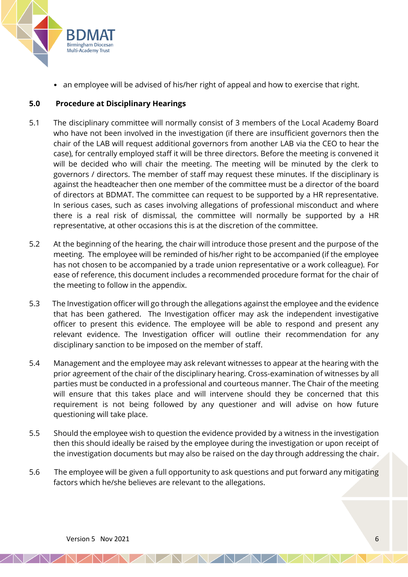

• an employee will be advised of his/her right of appeal and how to exercise that right.

# **5.0 Procedure at Disciplinary Hearings**

- 5.1 The disciplinary committee will normally consist of 3 members of the Local Academy Board who have not been involved in the investigation (if there are insufficient governors then the chair of the LAB will request additional governors from another LAB via the CEO to hear the case), for centrally employed staff it will be three directors. Before the meeting is convened it will be decided who will chair the meeting. The meeting will be minuted by the clerk to governors / directors. The member of staff may request these minutes. If the disciplinary is against the headteacher then one member of the committee must be a director of the board of directors at BDMAT. The committee can request to be supported by a HR representative. In serious cases, such as cases involving allegations of professional misconduct and where there is a real risk of dismissal, the committee will normally be supported by a HR representative, at other occasions this is at the discretion of the committee.
- 5.2 At the beginning of the hearing, the chair will introduce those present and the purpose of the meeting. The employee will be reminded of his/her right to be accompanied (if the employee has not chosen to be accompanied by a trade union representative or a work colleague). For ease of reference, this document includes a recommended procedure format for the chair of the meeting to follow in the appendix.
- 5.3 The Investigation officer will go through the allegations against the employee and the evidence that has been gathered. The Investigation officer may ask the independent investigative officer to present this evidence. The employee will be able to respond and present any relevant evidence. The Investigation officer will outline their recommendation for any disciplinary sanction to be imposed on the member of staff.
- 5.4 Management and the employee may ask relevant witnesses to appear at the hearing with the prior agreement of the chair of the disciplinary hearing. Cross-examination of witnesses by all parties must be conducted in a professional and courteous manner. The Chair of the meeting will ensure that this takes place and will intervene should they be concerned that this requirement is not being followed by any questioner and will advise on how future questioning will take place.
- 5.5 Should the employee wish to question the evidence provided by a witness in the investigation then this should ideally be raised by the employee during the investigation or upon receipt of the investigation documents but may also be raised on the day through addressing the chair.
- 5.6 The employee will be given a full opportunity to ask questions and put forward any mitigating factors which he/she believes are relevant to the allegations.

NAVAVAVA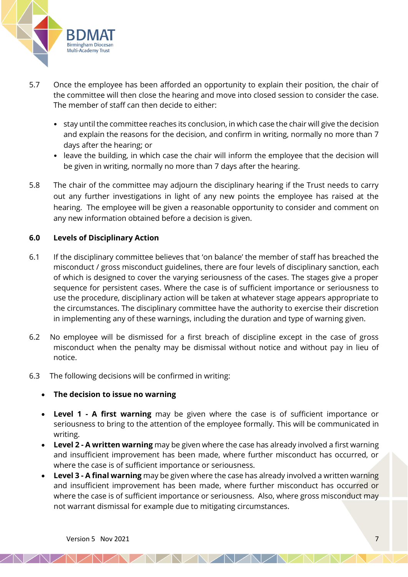

- 5.7 Once the employee has been afforded an opportunity to explain their position, the chair of the committee will then close the hearing and move into closed session to consider the case. The member of staff can then decide to either:
	- stay until the committee reaches its conclusion, in which case the chair will give the decision and explain the reasons for the decision, and confirm in writing, normally no more than 7 days after the hearing; or
	- leave the building, in which case the chair will inform the employee that the decision will be given in writing, normally no more than 7 days after the hearing.
- 5.8 The chair of the committee may adjourn the disciplinary hearing if the Trust needs to carry out any further investigations in light of any new points the employee has raised at the hearing. The employee will be given a reasonable opportunity to consider and comment on any new information obtained before a decision is given.

## **6.0 Levels of Disciplinary Action**

- 6.1 If the disciplinary committee believes that 'on balance' the member of staff has breached the misconduct / gross misconduct guidelines, there are four levels of disciplinary sanction, each of which is designed to cover the varying seriousness of the cases. The stages give a proper sequence for persistent cases. Where the case is of sufficient importance or seriousness to use the procedure, disciplinary action will be taken at whatever stage appears appropriate to the circumstances. The disciplinary committee have the authority to exercise their discretion in implementing any of these warnings, including the duration and type of warning given.
- 6.2 No employee will be dismissed for a first breach of discipline except in the case of gross misconduct when the penalty may be dismissal without notice and without pay in lieu of notice.
- 6.3 The following decisions will be confirmed in writing:

#### • **The decision to issue no warning**

- **Level 1 - A first warning** may be given where the case is of sufficient importance or seriousness to bring to the attention of the employee formally. This will be communicated in writing.
- **Level 2 - A written warning** may be given where the case has already involved a first warning and insufficient improvement has been made, where further misconduct has occurred, or where the case is of sufficient importance or seriousness.
- **Level 3 - A final warning** may be given where the case has already involved a written warning and insufficient improvement has been made, where further misconduct has occurred or where the case is of sufficient importance or seriousness. Also, where gross misconduct may not warrant dismissal for example due to mitigating circumstances.

NAMAMA

**JANZ**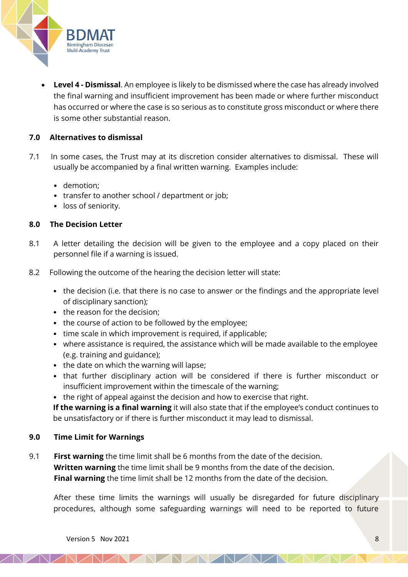

• **Level 4 - Dismissal**. An employee is likely to be dismissed where the case has already involved the final warning and insufficient improvement has been made or where further misconduct has occurred or where the case is so serious as to constitute gross misconduct or where there is some other substantial reason.

# **7.0 Alternatives to dismissal**

- 7.1 In some cases, the Trust may at its discretion consider alternatives to dismissal. These will usually be accompanied by a final written warning. Examples include:
	- demotion;
	- transfer to another school / department or job;
	- loss of seniority.

#### **8.0 The Decision Letter**

- 8.1 A letter detailing the decision will be given to the employee and a copy placed on their personnel file if a warning is issued.
- 8.2 Following the outcome of the hearing the decision letter will state:
	- the decision (i.e. that there is no case to answer or the findings and the appropriate level of disciplinary sanction);
	- the reason for the decision:
	- the course of action to be followed by the employee;
	- time scale in which improvement is required, if applicable;
	- where assistance is required, the assistance which will be made available to the employee (e.g. training and guidance);
	- the date on which the warning will lapse;
	- that further disciplinary action will be considered if there is further misconduct or insufficient improvement within the timescale of the warning;
	- the right of appeal against the decision and how to exercise that right.

**If the warning is a final warning** it will also state that if the employee's conduct continues to be unsatisfactory or if there is further misconduct it may lead to dismissal.

#### **9.0 Time Limit for Warnings**

9.1 **First warning** the time limit shall be 6 months from the date of the decision. **Written warning** the time limit shall be 9 months from the date of the decision. **Final warning** the time limit shall be 12 months from the date of the decision.

After these time limits the warnings will usually be disregarded for future disciplinary procedures, although some safeguarding warnings will need to be reported to future

NAVAVAVA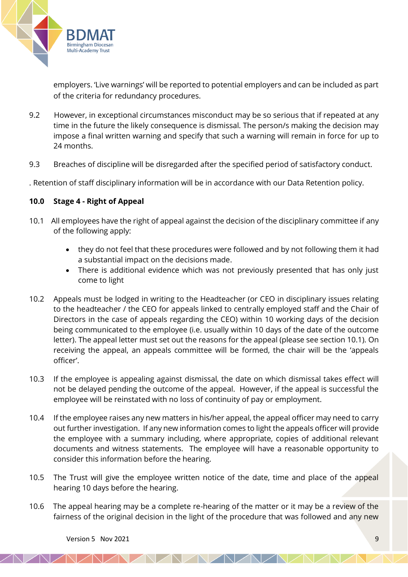

employers. 'Live warnings' will be reported to potential employers and can be included as part of the criteria for redundancy procedures.

- 9.2 However, in exceptional circumstances misconduct may be so serious that if repeated at any time in the future the likely consequence is dismissal. The person/s making the decision may impose a final written warning and specify that such a warning will remain in force for up to 24 months.
- 9.3 Breaches of discipline will be disregarded after the specified period of satisfactory conduct.
- . Retention of staff disciplinary information will be in accordance with our Data Retention policy.

## **10.0 Stage 4 - Right of Appeal**

- 10.1 All employees have the right of appeal against the decision of the disciplinary committee if any of the following apply:
	- they do not feel that these procedures were followed and by not following them it had a substantial impact on the decisions made.
	- There is additional evidence which was not previously presented that has only just come to light
- 10.2 Appeals must be lodged in writing to the Headteacher (or CEO in disciplinary issues relating to the headteacher / the CEO for appeals linked to centrally employed staff and the Chair of Directors in the case of appeals regarding the CEO) within 10 working days of the decision being communicated to the employee (i.e. usually within 10 days of the date of the outcome letter). The appeal letter must set out the reasons for the appeal (please see section 10.1). On receiving the appeal, an appeals committee will be formed, the chair will be the 'appeals officer'.
- 10.3 If the employee is appealing against dismissal, the date on which dismissal takes effect will not be delayed pending the outcome of the appeal. However, if the appeal is successful the employee will be reinstated with no loss of continuity of pay or employment.
- 10.4 If the employee raises any new matters in his/her appeal, the appeal officer may need to carry out further investigation. If any new information comes to light the appeals officer will provide the employee with a summary including, where appropriate, copies of additional relevant documents and witness statements. The employee will have a reasonable opportunity to consider this information before the hearing.
- 10.5 The Trust will give the employee written notice of the date, time and place of the appeal hearing 10 days before the hearing.
- 10.6 The appeal hearing may be a complete re-hearing of the matter or it may be a review of the fairness of the original decision in the light of the procedure that was followed and any new

NAVAVAV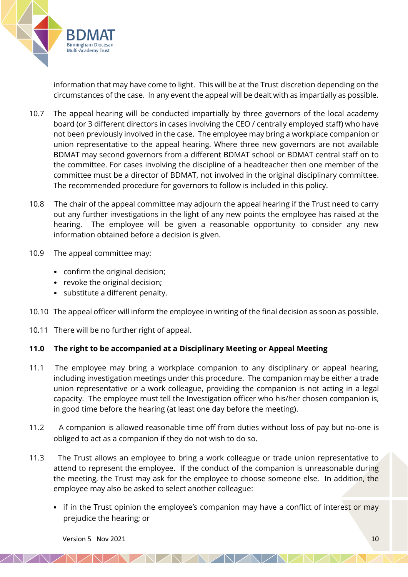

information that may have come to light. This will be at the Trust discretion depending on the circumstances of the case. In any event the appeal will be dealt with as impartially as possible.

- 10.7 The appeal hearing will be conducted impartially by three governors of the local academy board (or 3 different directors in cases involving the CEO / centrally employed staff) who have not been previously involved in the case. The employee may bring a workplace companion or union representative to the appeal hearing. Where three new governors are not available BDMAT may second governors from a different BDMAT school or BDMAT central staff on to the committee. For cases involving the discipline of a headteacher then one member of the committee must be a director of BDMAT, not involved in the original disciplinary committee. The recommended procedure for governors to follow is included in this policy.
- 10.8 The chair of the appeal committee may adjourn the appeal hearing if the Trust need to carry out any further investigations in the light of any new points the employee has raised at the hearing. The employee will be given a reasonable opportunity to consider any new information obtained before a decision is given.
- 10.9 The appeal committee may:
	- confirm the original decision;
	- revoke the original decision;
	- substitute a different penalty.
- 10.10 The appeal officer will inform the employee in writing of the final decision as soon as possible.
- 10.11 There will be no further right of appeal.

# **11.0 The right to be accompanied at a Disciplinary Meeting or Appeal Meeting**

- 11.1 The employee may bring a workplace companion to any disciplinary or appeal hearing, including investigation meetings under this procedure. The companion may be either a trade union representative or a work colleague, providing the companion is not acting in a legal capacity. The employee must tell the Investigation officer who his/her chosen companion is, in good time before the hearing (at least one day before the meeting).
- 11.2 A companion is allowed reasonable time off from duties without loss of pay but no-one is obliged to act as a companion if they do not wish to do so.
- 11.3 The Trust allows an employee to bring a work colleague or trade union representative to attend to represent the employee. If the conduct of the companion is unreasonable during the meeting, the Trust may ask for the employee to choose someone else. In addition, the employee may also be asked to select another colleague:
	- if in the Trust opinion the employee's companion may have a conflict of interest or may prejudice the hearing; or

NADADIAD

Version 5 Nov 2021  $\sqrt{10}$  10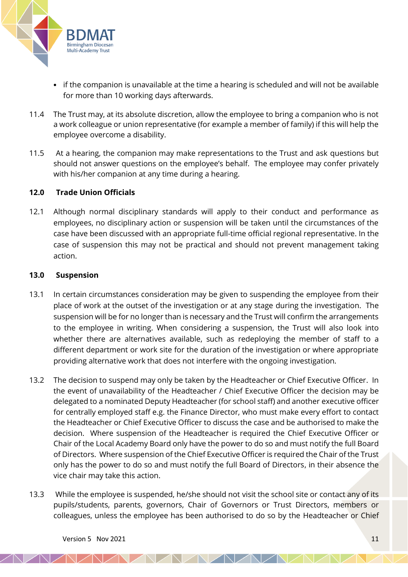

- if the companion is unavailable at the time a hearing is scheduled and will not be available for more than 10 working days afterwards.
- 11.4 The Trust may, at its absolute discretion, allow the employee to bring a companion who is not a work colleague or union representative (for example a member of family) if this will help the employee overcome a disability.
- 11.5 At a hearing, the companion may make representations to the Trust and ask questions but should not answer questions on the employee's behalf. The employee may confer privately with his/her companion at any time during a hearing.

#### **12.0 Trade Union Officials**

12.1 Although normal disciplinary standards will apply to their conduct and performance as employees, no disciplinary action or suspension will be taken until the circumstances of the case have been discussed with an appropriate full-time official regional representative. In the case of suspension this may not be practical and should not prevent management taking action.

#### **13.0 Suspension**

- 13.1 In certain circumstances consideration may be given to suspending the employee from their place of work at the outset of the investigation or at any stage during the investigation. The suspension will be for no longer than is necessary and the Trust will confirm the arrangements to the employee in writing. When considering a suspension, the Trust will also look into whether there are alternatives available, such as redeploying the member of staff to a different department or work site for the duration of the investigation or where appropriate providing alternative work that does not interfere with the ongoing investigation.
- 13.2 The decision to suspend may only be taken by the Headteacher or Chief Executive Officer. In the event of unavailability of the Headteacher / Chief Executive Officer the decision may be delegated to a nominated Deputy Headteacher (for school staff) and another executive officer for centrally employed staff e.g. the Finance Director, who must make every effort to contact the Headteacher or Chief Executive Officer to discuss the case and be authorised to make the decision. Where suspension of the Headteacher is required the Chief Executive Officer or Chair of the Local Academy Board only have the power to do so and must notify the full Board of Directors. Where suspension of the Chief Executive Officer is required the Chair of the Trust only has the power to do so and must notify the full Board of Directors, in their absence the vice chair may take this action.
- 13.3 While the employee is suspended, he/she should not visit the school site or contact any of its pupils/students, parents, governors, Chair of Governors or Trust Directors, members or colleagues, unless the employee has been authorised to do so by the Headteacher or Chief

NADADADAD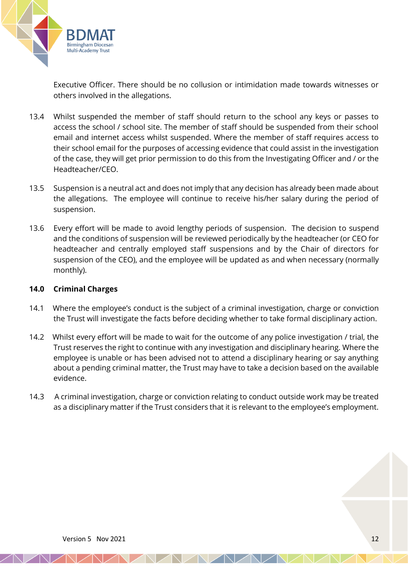

Executive Officer. There should be no collusion or intimidation made towards witnesses or others involved in the allegations.

- 13.4 Whilst suspended the member of staff should return to the school any keys or passes to access the school / school site. The member of staff should be suspended from their school email and internet access whilst suspended. Where the member of staff requires access to their school email for the purposes of accessing evidence that could assist in the investigation of the case, they will get prior permission to do this from the Investigating Officer and / or the Headteacher/CEO.
- 13.5 Suspension is a neutral act and does not imply that any decision has already been made about the allegations. The employee will continue to receive his/her salary during the period of suspension.
- 13.6 Every effort will be made to avoid lengthy periods of suspension. The decision to suspend and the conditions of suspension will be reviewed periodically by the headteacher (or CEO for headteacher and centrally employed staff suspensions and by the Chair of directors for suspension of the CEO), and the employee will be updated as and when necessary (normally monthly).

#### **14.0 Criminal Charges**

- 14.1 Where the employee's conduct is the subject of a criminal investigation, charge or conviction the Trust will investigate the facts before deciding whether to take formal disciplinary action.
- 14.2 Whilst every effort will be made to wait for the outcome of any police investigation / trial, the Trust reserves the right to continue with any investigation and disciplinary hearing. Where the employee is unable or has been advised not to attend a disciplinary hearing or say anything about a pending criminal matter, the Trust may have to take a decision based on the available evidence.
- 14.3 A criminal investigation, charge or conviction relating to conduct outside work may be treated as a disciplinary matter if the Trust considers that it is relevant to the employee's employment.

AAAA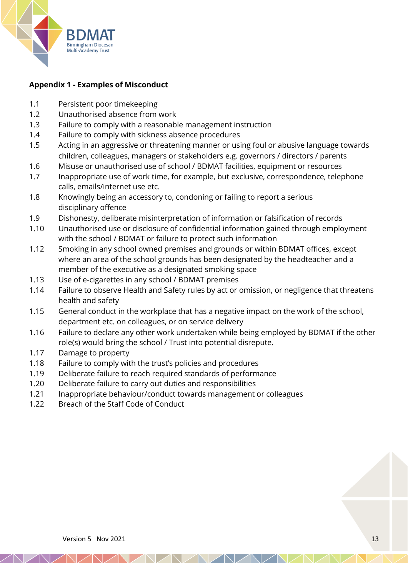

# **Appendix 1 - Examples of Misconduct**

- 1.1 Persistent poor timekeeping
- 1.2 Unauthorised absence from work
- 1.3 Failure to comply with a reasonable management instruction
- 1.4 Failure to comply with sickness absence procedures
- 1.5 Acting in an aggressive or threatening manner or using foul or abusive language towards children, colleagues, managers or stakeholders e.g. governors / directors / parents
- 1.6 Misuse or unauthorised use of school / BDMAT facilities, equipment or resources
- 1.7 Inappropriate use of work time, for example, but exclusive, correspondence, telephone calls, emails/internet use etc.
- 1.8 Knowingly being an accessory to, condoning or failing to report a serious disciplinary offence
- 1.9 Dishonesty, deliberate misinterpretation of information or falsification of records
- 1.10 Unauthorised use or disclosure of confidential information gained through employment with the school / BDMAT or failure to protect such information
- 1.12 Smoking in any school owned premises and grounds or within BDMAT offices, except where an area of the school grounds has been designated by the headteacher and a member of the executive as a designated smoking space
- 1.13 Use of e-cigarettes in any school / BDMAT premises
- 1.14 Failure to observe Health and Safety rules by act or omission, or negligence that threatens health and safety
- 1.15 General conduct in the workplace that has a negative impact on the work of the school, department etc. on colleagues, or on service delivery
- 1.16 Failure to declare any other work undertaken while being employed by BDMAT if the other role(s) would bring the school / Trust into potential disrepute.

NAVALALALAL

- 1.17 Damage to property
- 1.18 Failure to comply with the trust's policies and procedures
- 1.19 Deliberate failure to reach required standards of performance
- 1.20 Deliberate failure to carry out duties and responsibilities
- 1.21 Inappropriate behaviour/conduct towards management or colleagues
- 1.22 Breach of the Staff Code of Conduct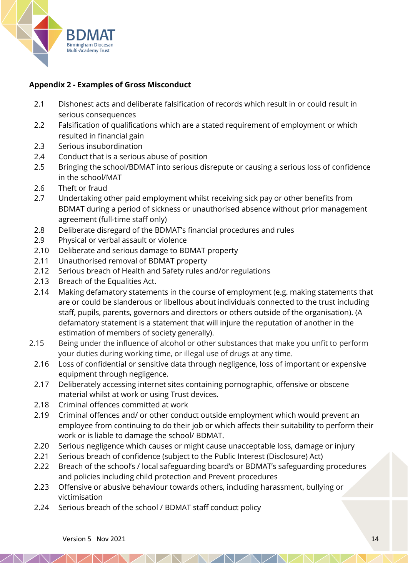

# **Appendix 2 - Examples of Gross Misconduct**

- 2.1 Dishonest acts and deliberate falsification of records which result in or could result in serious consequences
- 2.2 Falsification of qualifications which are a stated requirement of employment or which resulted in financial gain
- 2.3 Serious insubordination
- 2.4 Conduct that is a serious abuse of position
- 2.5 Bringing the school/BDMAT into serious disrepute or causing a serious loss of confidence in the school/MAT
- 2.6 Theft or fraud
- 2.7 Undertaking other paid employment whilst receiving sick pay or other benefits from BDMAT during a period of sickness or unauthorised absence without prior management agreement (full-time staff only)
- 2.8 Deliberate disregard of the BDMAT's financial procedures and rules
- 2.9 Physical or verbal assault or violence
- 2.10 Deliberate and serious damage to BDMAT property
- 2.11 Unauthorised removal of BDMAT property
- 2.12 Serious breach of Health and Safety rules and/or regulations
- 2.13 Breach of the Equalities Act.
- 2.14 Making defamatory statements in the course of employment (e.g. making statements that are or could be slanderous or libellous about individuals connected to the trust including staff, pupils, parents, governors and directors or others outside of the organisation). (A defamatory statement is a statement that will injure the reputation of another in the estimation of members of society generally).
- 2.15 Being under the influence of alcohol or other substances that make you unfit to perform your duties during working time, or illegal use of drugs at any time.
	- 2.16 Loss of confidential or sensitive data through negligence, loss of important or expensive equipment through negligence.
	- 2.17 Deliberately accessing internet sites containing pornographic, offensive or obscene material whilst at work or using Trust devices.
	- 2.18 Criminal offences committed at work
	- 2.19 Criminal offences and/ or other conduct outside employment which would prevent an employee from continuing to do their job or which affects their suitability to perform their work or is liable to damage the school/ BDMAT.
	- 2.20 Serious negligence which causes or might cause unacceptable loss, damage or injury
	- 2.21 Serious breach of confidence (subject to the Public Interest (Disclosure) Act)
	- 2.22 Breach of the school's / local safeguarding board's or BDMAT's safeguarding procedures and policies including child protection and Prevent procedures

<u>VANANANAN</u>

- 2.23 Offensive or abusive behaviour towards others, including harassment, bullying or victimisation
- 2.24 Serious breach of the school / BDMAT staff conduct policy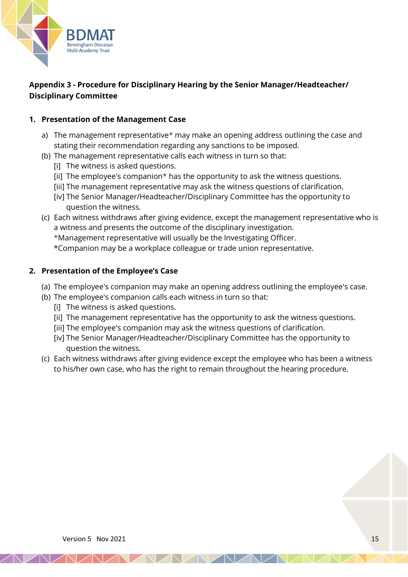

# **Appendix 3 - Procedure for Disciplinary Hearing by the Senior Manager/Headteacher/ Disciplinary Committee**

# **1. Presentation of the Management Case**

- a) The management representative\* may make an opening address outlining the case and stating their recommendation regarding any sanctions to be imposed.
- (b) The management representative calls each witness in turn so that:
	- [i] The witness is asked questions.
	- [ii] The employee's companion\* has the opportunity to ask the witness questions.
	- [iii] The management representative may ask the witness questions of clarification.
	- [iv] The Senior Manager/Headteacher/Disciplinary Committee has the opportunity to question the witness.
- (c) Each witness withdraws after giving evidence, except the management representative who is a witness and presents the outcome of the disciplinary investigation.
	- \*Management representative will usually be the Investigating Officer.
	- \*Companion may be a workplace colleague or trade union representative.

## **2. Presentation of the Employee's Case**

- (a) The employee's companion may make an opening address outlining the employee's case.
- (b) The employee's companion calls each witness in turn so that:
	- [i] The witness is asked questions.
	- [ii] The management representative has the opportunity to ask the witness questions.
	- [iii] The employee's companion may ask the witness questions of clarification.
	- [iv] The Senior Manager/Headteacher/Disciplinary Committee has the opportunity to question the witness.
- (c) Each witness withdraws after giving evidence except the employee who has been a witness to his/her own case, who has the right to remain throughout the hearing procedure.

NAMAZIAN AND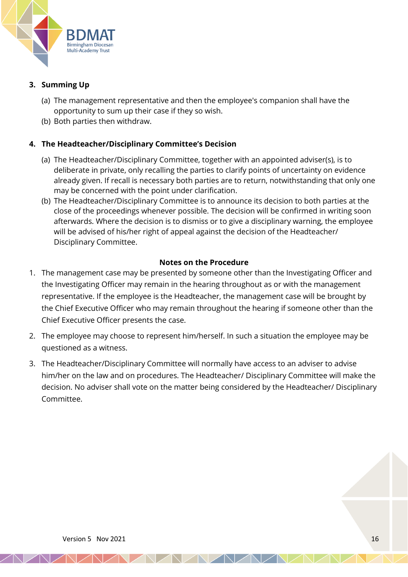

# **3. Summing Up**

- (a) The management representative and then the employee's companion shall have the opportunity to sum up their case if they so wish.
- (b) Both parties then withdraw.

# **4. The Headteacher/Disciplinary Committee's Decision**

- (a) The Headteacher/Disciplinary Committee, together with an appointed adviser(s), is to deliberate in private, only recalling the parties to clarify points of uncertainty on evidence already given. If recall is necessary both parties are to return, notwithstanding that only one may be concerned with the point under clarification.
- (b) The Headteacher/Disciplinary Committee is to announce its decision to both parties at the close of the proceedings whenever possible. The decision will be confirmed in writing soon afterwards. Where the decision is to dismiss or to give a disciplinary warning, the employee will be advised of his/her right of appeal against the decision of the Headteacher/ Disciplinary Committee.

# **Notes on the Procedure**

- 1. The management case may be presented by someone other than the Investigating Officer and the Investigating Officer may remain in the hearing throughout as or with the management representative. If the employee is the Headteacher, the management case will be brought by the Chief Executive Officer who may remain throughout the hearing if someone other than the Chief Executive Officer presents the case.
- 2. The employee may choose to represent him/herself. In such a situation the employee may be questioned as a witness.
- 3. The Headteacher/Disciplinary Committee will normally have access to an adviser to advise him/her on the law and on procedures. The Headteacher/ Disciplinary Committee will make the decision. No adviser shall vote on the matter being considered by the Headteacher/ Disciplinary Committee.

NAMAZNA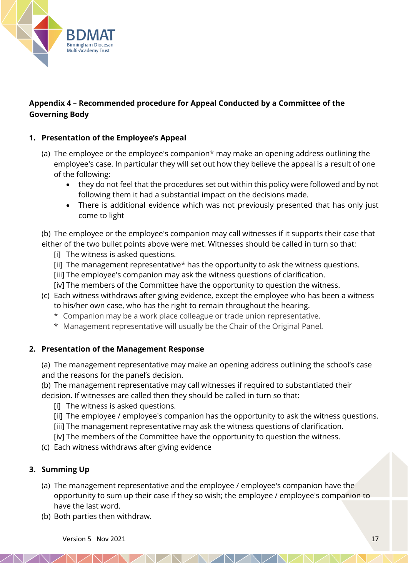

# **Appendix 4 – Recommended procedure for Appeal Conducted by a Committee of the Governing Body**

# **1. Presentation of the Employee's Appeal**

- (a) The employee or the employee's companion\* may make an opening address outlining the employee's case. In particular they will set out how they believe the appeal is a result of one of the following:
	- they do not feel that the procedures set out within this policy were followed and by not following them it had a substantial impact on the decisions made.
	- There is additional evidence which was not previously presented that has only just come to light

(b) The employee or the employee's companion may call witnesses if it supports their case that either of the two bullet points above were met. Witnesses should be called in turn so that:

- [i] The witness is asked questions.
- [ii] The management representative\* has the opportunity to ask the witness questions.
- [iii] The employee's companion may ask the witness questions of clarification.
- [iv] The members of the Committee have the opportunity to question the witness.
- (c) Each witness withdraws after giving evidence, except the employee who has been a witness to his/her own case, who has the right to remain throughout the hearing.
	- \* Companion may be a work place colleague or trade union representative.
	- \* Management representative will usually be the Chair of the Original Panel.

#### **2. Presentation of the Management Response**

(a) The management representative may make an opening address outlining the school's case and the reasons for the panel's decision.

(b) The management representative may call witnesses if required to substantiated their decision. If witnesses are called then they should be called in turn so that:

- [i] The witness is asked questions.
- [ii] The employee / employee's companion has the opportunity to ask the witness questions.
- [iii] The management representative may ask the witness questions of clarification.
- [iv] The members of the Committee have the opportunity to question the witness.
- (c) Each witness withdraws after giving evidence

# **3. Summing Up**

(a) The management representative and the employee / employee's companion have the opportunity to sum up their case if they so wish; the employee / employee's companion to have the last word.

*AAAAAAA* 

(b) Both parties then withdraw.

Version 5 Nov 2021  $\sqrt{17}$